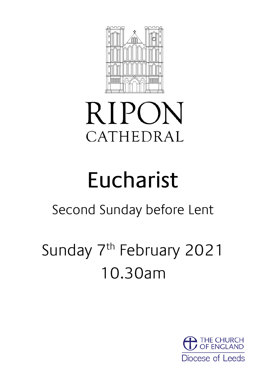

# RIPON CATHEDRAL

# Eucharist

# Second Sunday before Lent

# Sunday 7<sup>th</sup> February 2021 10.30am

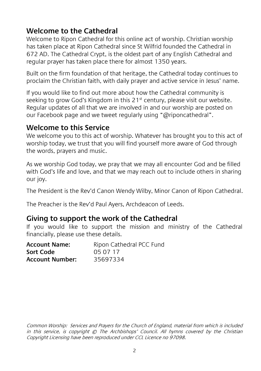#### **Welcome to the Cathedral**

Welcome to Ripon Cathedral for this online act of worship. Christian worship has taken place at Ripon Cathedral since St Wilfrid founded the Cathedral in 672 AD. The Cathedral Crypt, is the oldest part of any English Cathedral and regular prayer has taken place there for almost 1350 years.

Built on the firm foundation of that heritage, the Cathedral today continues to proclaim the Christian faith, with daily prayer and active service in Jesus' name.

If you would like to find out more about how the Cathedral community is seeking to grow God's Kingdom in this 21<sup>st</sup> century, please visit our website. Regular updates of all that we are involved in and our worship are posted on our Facebook page and we tweet regularly using "@riponcathedral".

#### **Welcome to this Service**

We welcome you to this act of worship. Whatever has brought you to this act of worship today, we trust that you will find yourself more aware of God through the words, prayers and music.

As we worship God today, we pray that we may all encounter God and be filled with God's life and love, and that we may reach out to include others in sharing our joy.

The President is the Rev'd Canon Wendy Wilby, Minor Canon of Ripon Cathedral.

The Preacher is the Rev'd Paul Ayers, Archdeacon of Leeds.

#### **Giving to support the work of the Cathedral**

If you would like to support the mission and ministry of the Cathedral financially, please use these details.

| <b>Account Name:</b>   | Ripon Cathedral PCC Fund |
|------------------------|--------------------------|
| Sort Code              | 05 07 17                 |
| <b>Account Number:</b> | 35697334                 |

Common Worship: Services and Prayers for the Church of England, material from which is included in this service, is copyright © The Archbishops' Council. All hymns covered by the Christian Copyright Licensing have been reproduced under CCL Licence no 97098.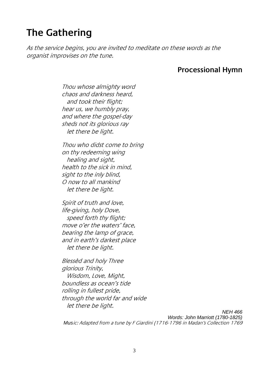# **The Gathering**

As the service begins, you are invited to meditate on these words as the organist improvises on the tune.

#### **Processional Hymn**

Thou whose almighty word chaos and darkness heard, and took their flight; hear us, we humbly pray, and where the gospel-day sheds not its glorious ray let there be light.

Thou who didst come to bring on thy redeeming wing healing and sight, health to the sick in mind, sight to the inly blind, O now to all mankind let there be light.

Spirit of truth and love, life-giving, holy Dove, speed forth thy flight; move o'er the waters' face, bearing the lamp of grace. and in earth's darkest place let there be light.

Blessèd and holy Three glorious Trinity, Wisdom, Love, Might, boundless as ocean's tide rolling in fullest pride, through the world far and wide let there be light.

*NEH 466 Words: John Marriott (1780-1825) Mus*ic: Adapted from a tune by F Giardini (1716-1796 in Madan's Collection 1769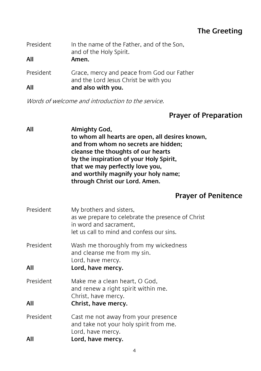#### **The Greeting**

| President<br>All | In the name of the Father, and of the Son,<br>and of the Holy Spirit.<br>Amen.      |
|------------------|-------------------------------------------------------------------------------------|
| President        | Grace, mercy and peace from God our Father<br>and the Lord Jesus Christ be with you |
| All              | and also with you.                                                                  |

Words of welcome and introduction to the service.

### **Prayer of Preparation**

| All              | Almighty God,<br>to whom all hearts are open, all desires known,<br>and from whom no secrets are hidden;<br>cleanse the thoughts of our hearts<br>by the inspiration of your Holy Spirit,<br>that we may perfectly love you,<br>and worthily magnify your holy name;<br>through Christ our Lord. Amen. |
|------------------|--------------------------------------------------------------------------------------------------------------------------------------------------------------------------------------------------------------------------------------------------------------------------------------------------------|
|                  | <b>Prayer of Penitence</b>                                                                                                                                                                                                                                                                             |
| President        | My brothers and sisters,<br>as we prepare to celebrate the presence of Christ<br>in word and sacrament,<br>let us call to mind and confess our sins.                                                                                                                                                   |
| President<br>All | Wash me thoroughly from my wickedness<br>and cleanse me from my sin.<br>Lord, have mercy.<br>Lord, have mercy.                                                                                                                                                                                         |
| President<br>All | Make me a clean heart, O God,<br>and renew a right spirit within me.<br>Christ, have mercy.<br>Christ, have mercy.                                                                                                                                                                                     |
| President<br>All | Cast me not away from your presence<br>and take not your holy spirit from me.<br>Lord, have mercy.<br>Lord, have mercy.                                                                                                                                                                                |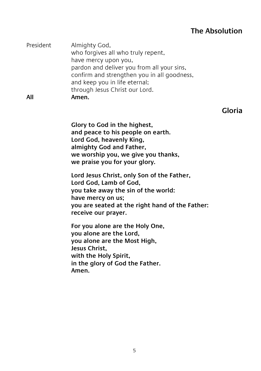#### **The Absolution**

| President | Almighty God,                               |
|-----------|---------------------------------------------|
|           | who forgives all who truly repent,          |
|           | have mercy upon you,                        |
|           | pardon and deliver you from all your sins,  |
|           | confirm and strengthen you in all goodness, |
|           | and keep you in life eternal;               |
|           | through Jesus Christ our Lord.              |
| All       | Amen.                                       |

#### **Gloria**

**Glory to God in the highest, and peace to his people on earth. Lord God, heavenly King, almighty God and Father, we worship you, we give you thanks, we praise you for your glory.**

**Lord Jesus Christ, only Son of the Father, Lord God, Lamb of God, you take away the sin of the world: have mercy on us; you are seated at the right hand of the Father: receive our prayer.**

**For you alone are the Holy One, you alone are the Lord, you alone are the Most High, Jesus Christ, with the Holy Spirit, in the glory of God the Father. Amen.**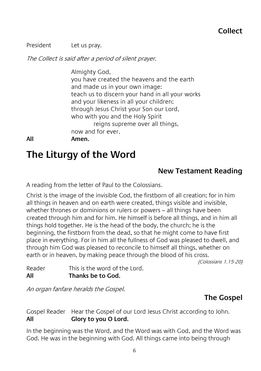President Let us pray.

The Collect is said after a period of silent prayer.

Almighty God, you have created the heavens and the earth and made us in your own image: teach us to discern your hand in all your works and your likeness in all your children; through Jesus Christ your Son our Lord, who with you and the Holy Spirit reigns supreme over all things, now and for ever.

#### **All Amen.**

# **The Liturgy of the Word**

#### **New Testament Reading**

A reading from the letter of Paul to the Colossians.

Christ is the image of the invisible God, the firstborn of all creation; for in him all things in heaven and on earth were created, things visible and invisible, whether thrones or dominions or rulers or powers – all things have been created through him and for him. He himself is before all things, and in him all things hold together. He is the head of the body, the church; he is the beginning, the firstborn from the dead, so that he might come to have first place in everything. For in him all the fullness of God was pleased to dwell, and through him God was pleased to reconcile to himself all things, whether on earth or in heaven, by making peace through the blood of his cross.

(Colossians 1.15-20)

Reader This is the word of the Lord. **All Thanks be to God.**

An organ fanfare heralds the Gospel.

#### **The Gospel**

Gospel Reader Hear the Gospel of our Lord Jesus Christ according to John. **All Glory to you O Lord.**

In the beginning was the Word, and the Word was with God, and the Word was God. He was in the beginning with God. All things came into being through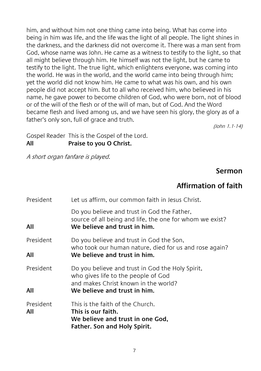him, and without him not one thing came into being. What has come into being in him was life, and the life was the light of all people. The light shines in the darkness, and the darkness did not overcome it. There was a man sent from God, whose name was John. He came as a witness to testify to the light, so that all might believe through him. He himself was not the light, but he came to testify to the light. The true light, which enlightens everyone, was coming into the world. He was in the world, and the world came into being through him; yet the world did not know him. He came to what was his own, and his own people did not accept him. But to all who received him, who believed in his name, he gave power to become children of God, who were born, not of blood or of the will of the flesh or of the will of man, but of God. And the Word became flesh and lived among us, and we have seen his glory, the glory as of a father's only son, full of grace and truth.

(John 1.1-14)

Gospel Reader This is the Gospel of the Lord. **All Praise to you O Christ.**

A short organ fanfare is played.

#### **Sermon**

#### **Affirmation of faith**

| <b>President</b> | Let us affirm, our common faith in Jesus Christ.                                                                                        |
|------------------|-----------------------------------------------------------------------------------------------------------------------------------------|
| All              | Do you believe and trust in God the Father,<br>source of all being and life, the one for whom we exist?<br>We believe and trust in him. |
| President        | Do you believe and trust in God the Son,<br>who took our human nature, died for us and rose again?                                      |
| All              | We believe and trust in him.                                                                                                            |
| President        | Do you believe and trust in God the Holy Spirit,<br>who gives life to the people of God<br>and makes Christ known in the world?         |
| All              | We believe and trust in him.                                                                                                            |
| President<br>All | This is the faith of the Church.<br>This is our faith.<br>We believe and trust in one God,<br>Father. Son and Holy Spirit.              |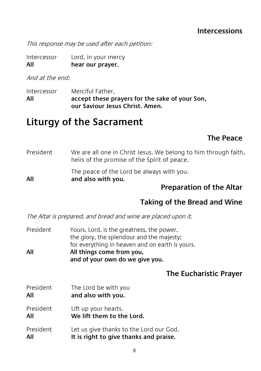#### **Intercessions**

This response may be used after each petition:

Intercessor Lord, in your mercy **All hear our prayer.**

And at the end:

Intercessor Merciful Father, **All accept these prayers for the sake of your Son, our Saviour Jesus Christ. Amen.**

## **Liturgy of the Sacrament**

#### **The Peace**

|           | <b>Preparation of the Altar</b>                                                                                 |
|-----------|-----------------------------------------------------------------------------------------------------------------|
| All       | The peace of the Lord be always with you.<br>and also with you.                                                 |
| President | We are all one in Christ Jesus. We belong to him through faith,<br>heirs of the promise of the Spirit of peace. |

#### **Taking of the Bread and Wine**

The Altar is prepared, and bread and wine are placed upon it.

President Yours, Lord, is the greatness, the power, the glory, the splendour and the majesty; for everything in heaven and on earth is yours. **All All things come from you, and of your own do we give you.**

#### **The Eucharistic Prayer**

President The Lord be with you **All and also with you.** President Lift up your hearts. **All We lift them to the Lord.** President Let us give thanks to the Lord our God. **All It is right to give thanks and praise.**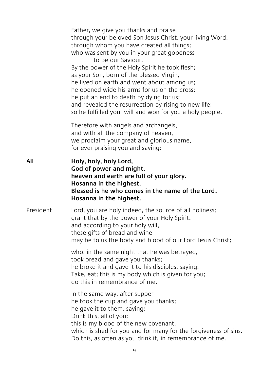|           | Father, we give you thanks and praise<br>through your beloved Son Jesus Christ, your living Word,<br>through whom you have created all things;<br>who was sent by you in your great goodness<br>to be our Saviour.<br>By the power of the Holy Spirit he took flesh;<br>as your Son, born of the blessed Virgin,<br>he lived on earth and went about among us;<br>he opened wide his arms for us on the cross;<br>he put an end to death by dying for us;<br>and revealed the resurrection by rising to new life;<br>so he fulfilled your will and won for you a holy people. |
|-----------|-------------------------------------------------------------------------------------------------------------------------------------------------------------------------------------------------------------------------------------------------------------------------------------------------------------------------------------------------------------------------------------------------------------------------------------------------------------------------------------------------------------------------------------------------------------------------------|
|           | Therefore with angels and archangels,<br>and with all the company of heaven,<br>we proclaim your great and glorious name,<br>for ever praising you and saying:                                                                                                                                                                                                                                                                                                                                                                                                                |
| All       | Holy, holy, holy Lord,<br>God of power and might,<br>heaven and earth are full of your glory.<br>Hosanna in the highest.<br>Blessed is he who comes in the name of the Lord.<br>Hosanna in the highest.                                                                                                                                                                                                                                                                                                                                                                       |
| President | Lord, you are holy indeed, the source of all holiness;<br>grant that by the power of your Holy Spirit,<br>and according to your holy will,<br>these gifts of bread and wine<br>may be to us the body and blood of our Lord Jesus Christ;                                                                                                                                                                                                                                                                                                                                      |
|           | who, in the same night that he was betrayed,<br>took bread and gave you thanks;<br>he broke it and gave it to his disciples, saying:<br>Take, eat; this is my body which is given for you;<br>do this in remembrance of me.                                                                                                                                                                                                                                                                                                                                                   |
|           | In the same way, after supper<br>he took the cup and gave you thanks;<br>he gave it to them, saying:<br>Drink this, all of you;<br>this is my blood of the new covenant,<br>which is shed for you and for many for the forgiveness of sins.<br>Do this, as often as you drink it, in remembrance of me.                                                                                                                                                                                                                                                                       |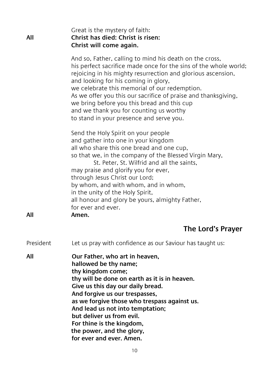| All       | Great is the mystery of faith:<br>Christ has died: Christ is risen:<br>Christ will come again.                                                                                                                                                                                                                                                                                                                                                                                               |
|-----------|----------------------------------------------------------------------------------------------------------------------------------------------------------------------------------------------------------------------------------------------------------------------------------------------------------------------------------------------------------------------------------------------------------------------------------------------------------------------------------------------|
|           | And so, Father, calling to mind his death on the cross,<br>his perfect sacrifice made once for the sins of the whole world;<br>rejoicing in his mighty resurrection and glorious ascension,<br>and looking for his coming in glory,<br>we celebrate this memorial of our redemption.<br>As we offer you this our sacrifice of praise and thanksgiving,<br>we bring before you this bread and this cup<br>and we thank you for counting us worthy<br>to stand in your presence and serve you. |
| All       | Send the Holy Spirit on your people<br>and gather into one in your kingdom<br>all who share this one bread and one cup,<br>so that we, in the company of the Blessed Virgin Mary,<br>St. Peter, St. Wilfrid and all the saints,<br>may praise and glorify you for ever,<br>through Jesus Christ our Lord;<br>by whom, and with whom, and in whom,<br>in the unity of the Holy Spirit,<br>all honour and glory be yours, almighty Father,<br>for ever and ever.<br>Amen.                      |
|           | The Lord's Prayer                                                                                                                                                                                                                                                                                                                                                                                                                                                                            |
| President | Let us pray with confidence as our Saviour has taught us:                                                                                                                                                                                                                                                                                                                                                                                                                                    |
| All       | Our Father, who art in heaven,<br>hallowed be thy name;<br>thy kingdom come;<br>thy will be done on earth as it is in heaven.<br>Give us this day our daily bread.<br>And forgive us our trespasses,<br>as we forgive those who trespass against us.<br>And lead us not into temptation;<br>but deliver us from evil.<br>For thine is the kingdom,<br>the power, and the glory,<br>for ever and ever. Amen.                                                                                  |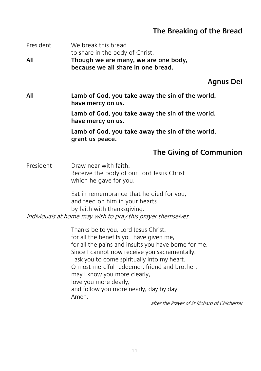### **The Breaking of the Bread**

| President | We break this bread<br>to share in the body of Christ.                                                                                                                                                                                                                                                                                                                                                                                                 |
|-----------|--------------------------------------------------------------------------------------------------------------------------------------------------------------------------------------------------------------------------------------------------------------------------------------------------------------------------------------------------------------------------------------------------------------------------------------------------------|
| All       | Though we are many, we are one body,<br>because we all share in one bread.                                                                                                                                                                                                                                                                                                                                                                             |
|           | Agnus Dei                                                                                                                                                                                                                                                                                                                                                                                                                                              |
| All       | Lamb of God, you take away the sin of the world,<br>have mercy on us.                                                                                                                                                                                                                                                                                                                                                                                  |
|           | Lamb of God, you take away the sin of the world,<br>have mercy on us.                                                                                                                                                                                                                                                                                                                                                                                  |
|           | Lamb of God, you take away the sin of the world,<br>grant us peace.                                                                                                                                                                                                                                                                                                                                                                                    |
|           | The Giving of Communion                                                                                                                                                                                                                                                                                                                                                                                                                                |
| President | Draw near with faith.<br>Receive the body of our Lord Jesus Christ<br>which he gave for you,                                                                                                                                                                                                                                                                                                                                                           |
|           | Eat in remembrance that he died for you,<br>and feed on him in your hearts<br>by faith with thanksgiving.<br>Individuals at home may wish to pray this prayer themselves.                                                                                                                                                                                                                                                                              |
|           | Thanks be to you, Lord Jesus Christ,<br>for all the benefits you have given me,<br>for all the pains and insults you have borne for me.<br>Since I cannot now receive you sacramentally,<br>I ask you to come spiritually into my heart.<br>O most merciful redeemer, friend and brother,<br>may I know you more clearly,<br>love you more dearly,<br>and follow you more nearly, day by day.<br>Amen.<br>after the Prayer of St Richard of Chichester |